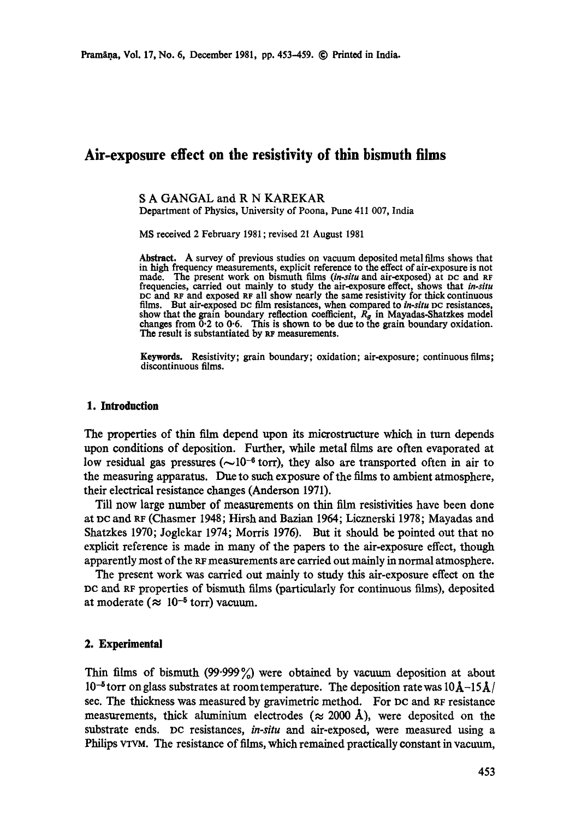# **Air-exposure effect on the resistivity of thin bismuth films**

# S A GANGAL and R N KAREKAR

Department of Physics, University of Poona, Pune 411 007, India

MS received 2 February 1981 ; revised 21 August 1981

Abstract. A survey of previous studies on vacuum deposited metal films shows that in high frequency measurements, explicit reference to the effect of air-exposure is not made. The present work on bismuth films *(in-situ* and air-exposed) at DC and RF frequencies, carried out mainly **to study** the air-exposure effect, shows that *in-situ*  pc and RF and exposed RF all show nearly the same resistivity for thick continuous films. But air-exposed pc film resistances, when compared to *in-situ* oc resistances, show that the grain boundary reflection coefficient,  $R_g$  in Mayadas-Shatzkes model changes from  $0.2$  to  $0.6$ . This is shown to be due to the grain boundary oxidation. The result is substantiated by RF measurements.

**Keywords.** Resistivity; grain boundary; oxidation; air-exposure; continuous films; discontinuous **films.** 

# **1. Introduction**

The properties of thin film depend upon its microstructure which in turn depends upon conditions of deposition. Further, while metal films are often evaporated at low residual gas pressures ( $\sim 10^{-6}$  torr), they also are transported often in air to the measuring apparatus. Due to such exposure of the films to ambient atmosphere, their electrical resistance changes (Anderson 1971).

Till now large number of measurements on thin film resistivities have been done at pc and RF (Chasmer 1948; Hirsh and Bazian 1964; Licznerski 1978; Mayadas and Shatzkes 1970; Joglekar 1974; Morris 1976). But it should be pointed out that no explicit reference is made in many of the papers to the air-exposure effect, though apparently most of the gr measurements are carried out mainly in normal atmosphere.

The present work was carried out mainly to study this air-exposure effect on the pc and RF properties of bismuth films (particularly for continuous films), deposited at moderate ( $\approx 10^{-5}$  torr) vacuum.

### **2. Experimental**

Thin films of bismuth (99.999%) were obtained by vacuum deposition at about  $10^{-5}$  torr on glass substrates at room temperature. The deposition rate was  $10\AA - 15\AA/$ see. The thickness was measured by gravimetric method. For DC and RF resistance measurements, thick aluminium electrodes ( $\approx$  2000 Å), were deposited on the substrate ends. DC resistances, *in-situ* and air-eXposed, were measured using a Philips VTVM. The resistance of films, which remained practically constant in vacuum,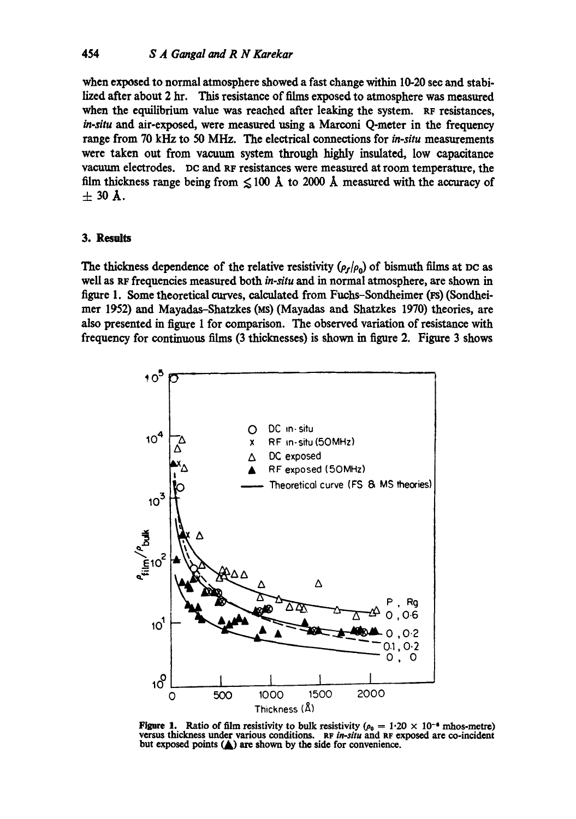when exposed to normal atmosphere showed a fast change within 10-20 sec and stabilized after about 2 hr. This resistance of films exposed to atmosphere was measured when the equilibrium value was reached after leaking the system. RF resistances, *in-situ* and air-exposed, were measured using a Marconi Q-meter in the frequency range from 70 kHz to 50 MHz. The electrical connections for *in-situ* measurements were taken out from vacuum system through highly insulated, low capacitance vacuum electrodes. DC and RF resistances were measured at room temperature, the film thickness range being from  $\leq 100$  Å to 2000 Å measured with the accuracy of  $± 30$  Å.

# 3. Results

The thickness dependence of the relative resistivity ( $\rho_f/\rho_0$ ) of bismuth films at DC as well as RF frequencies measured both *in-situ* and in normal atmosphere, are shown in figure 1. Some theoretical curves, calculated from Fuchs-Sondheimer (Ps) (Sondheimer 1952) and Mayadas-Shatzkes (Ms) (Mayadas and Shatzkes 1970) theories, are also presented in figure 1 for comparison. The observed variation of resistance with frequency for continuous films (3 thicknesses) is shown in figure 2. Figure 3 shows



**Figure 1.** Ratio of film resistivity to bulk resistivity ( $\rho_0 = 1.20 \times 10^{-6}$  mhos-metre) versus thickness under various conditions. RF *in-situ* and RF exposed are co-incident **but exposed points (A) are shown by the side for convenience.**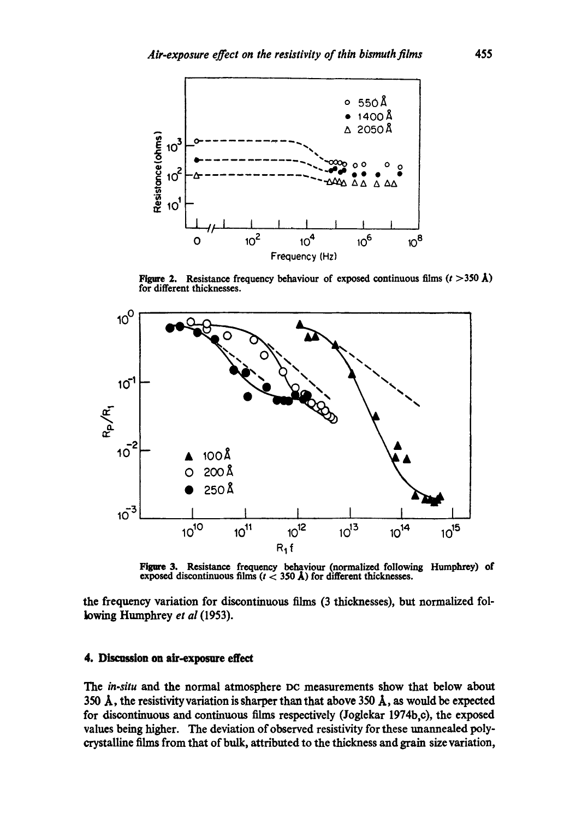

Figure 2. Resistance frequency behaviour of exposed continuous films  $(t > 350 \text{ Å})$ for different thicknesses.



Figmre 3. Resistance frequency bebaviour (normalized following Humphrey) of exposed discontinuous films  $(t < 350 \text{ Å})$  for different thicknesses.

the frequency variation for discontinuous films (3 thicknesses), but normalized following Humphrey *et al* (1953).

# 4. Discussion on air-exposure effect

*The in-situ* and the normal atmosphere DC measurements show that below about 350  $\AA$ , the resistivity variation is sharper than that above 350  $\AA$ , as would be expected for discontinuous and continuous films respectively (Joglekar 1974b,c), the exposed values being higher. The deviation of observed resistivity for these unannealed polycrystalline films from that of bulk, attributed to the thickness and grain size variation,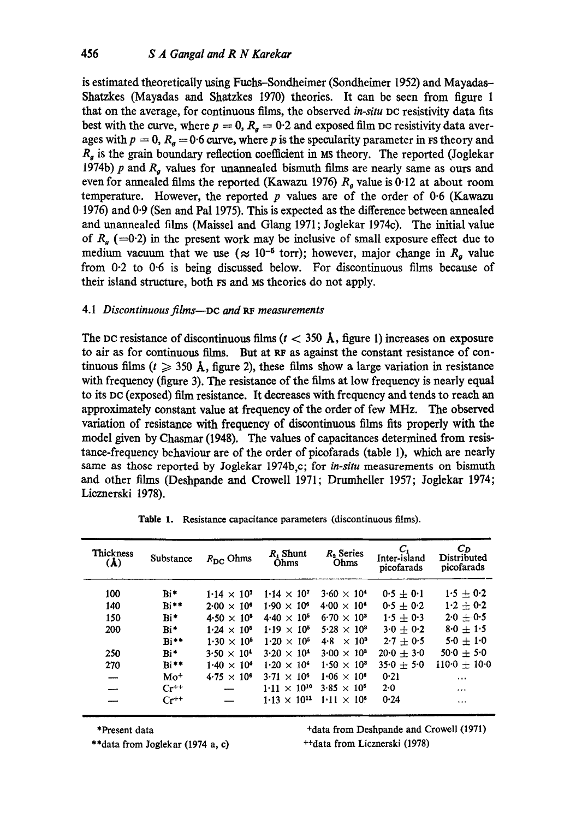is estimated theoretically using Fuchs-Sondheimer (Sondheimer 1952) and Mayadas-Shatzkes (Mayadas and Shatzkes 1970) theories. It can be seen from figure 1 that on the average, for continuous films, the observed *in-situ* DC resistivity data fits best with the curve, where  $p = 0$ ,  $R_a = 0.2$  and exposed film DC resistivity data averages with  $p = 0$ ,  $R_q = 0.6$  curve, where p is the specularity parameter in FS theory and  $R<sub>g</sub>$  is the grain boundary reflection coefficient in Ms theory. The reported (Joglekar 1974b) p and  $R<sub>q</sub>$  values for unannealed bismuth films are nearly same as ours and even for annealed films the reported (Kawazu 1976)  $R_g$  value is 0.12 at about room temperature. However, the reported  $p$  values are of the order of 0.6 (Kawazu 1976) and 0.9 (Sen and Pal 1975). This is expected as the difference between annealed and unannealed films (Maissel and Glang 1971; Joglekar 1974c). The initial value of  $R<sub>g</sub>$  (=0.2) in the present work may be inclusive of small exposure effect due to medium vacuum that we use ( $\approx 10^{-5}$  torr); however, major change in  $R<sub>g</sub>$  value from 0-2 to 0-6 is being discussed below. For discontinuous films because of their island structure, both FS and Ms theories do not apply.

# *4. I Discontinuous films--Dc and RF measurements*

The pc resistance of discontinuous films ( $t < 350 \text{ Å}$ , figure 1) increases on exposure to air as for continuous films. But at RF as against the constant resistance of continuous films ( $t \geq 350$  Å, figure 2), these films show a large variation in resistance with frequency (figure 3). The resistance of the films at low frequency is nearly equal to its DC (exposed) film resistance. It decreases with frequency and tends to reach an approximately constant value at frequency of the order of few MHz. The observed variation of resistance with frequency of discontinuous films fits properly with the model given by Chasmar (1948). The values of capacitances determined from resistance-frequency behaviour are of the order of picofarads (table 1), which are nearly same as those reported by Joglekar 1974b,c; for *in-situ* measurements on bismuth and other films (Deshpande and Crowell 1971; Drumheller 1957; 3oglekar 1974; Licznerski 1978).

| <b>Thickness</b><br>(A) | Substance       | $R_{\rm DC}$ Ohms    | $R_1$ Shunt<br>Ohms   | $R2$ Series<br>Ohms  | c,<br>Inter-island<br>picofarads | $C_D$<br>Distributed<br>picofarads |
|-------------------------|-----------------|----------------------|-----------------------|----------------------|----------------------------------|------------------------------------|
| 100                     | $\mathbf{Bi}^*$ | $1.14 \times 10^{7}$ | $1.14 \times 10^{7}$  | $3.60 \times 10^{4}$ | $0.5 + 0.1$                      | $1.5 + 0.2$                        |
| 140                     | $Bi**$          | $2.00 \times 10^{6}$ | $1.90 \times 10^{6}$  | $4.00 \times 10^{4}$ | $0.5 + 0.2$                      | $1.2 + 0.2$                        |
| 150                     | $\mathbf{Bi}^*$ | $4.50 \times 10^{5}$ | $4.40 \times 10^{5}$  | $6.70 \times 10^{3}$ | $1.5 \pm 0.3$                    | $2.0 \pm 0.5$                      |
| 200                     | $Bi*$           | $1.24 \times 10^{5}$ | $1.19 \times 10^{5}$  | $5.28 \times 10^{3}$ | $3.0 \pm 0.2$                    | $8.0 + 1.5$                        |
|                         | $Bi**$          | $1.30 \times 10^{5}$ | $1.20 \times 10^{5}$  | $4.8 \times 10^{3}$  | $2.7 + 0.5$                      | $5.0 + 1.0$                        |
| 250                     | $Bi*$           | $3.50 \times 10^{4}$ | $3.20 \times 10^{4}$  | $3.00 \times 10^{3}$ | $20.0 + 3.0$                     | $50.0 + 5.0$                       |
| 270                     | $Bi**$          | $1.40 \times 10^{4}$ | $1.20 \times 10^{4}$  | $1.50 \times 10^{3}$ | $35.0 + 5.0$                     | $110-0 + 10-0$                     |
|                         | $Mo+$           | $4.75 \times 10^{6}$ | $3.71 \times 10^{6}$  | $1.06 \times 10^{6}$ | 0.21                             | $\cdots$                           |
|                         | $Cr^{++}$       |                      | $1.11 \times 10^{10}$ | $3.85 \times 10^{5}$ | 2.0                              | $\cdots$                           |
|                         | $Cr^{++}$       |                      | $1.13 \times 10^{11}$ | $1.11 \times 10^{6}$ | 0.24                             |                                    |

Table 1. Resistance capacitance parameters (discontinuous films).

\*Present data

\*\*data from Joglekar (1974 a, c)

**+data** from Deshpande and Crowell (1971) ++data from Licznerski (1978)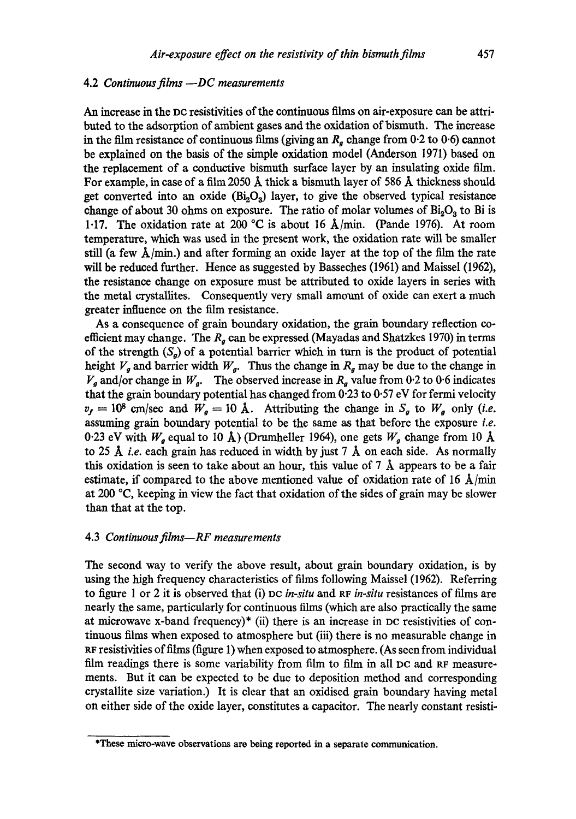# 4.2 *Continuous films --DC measurements*

An increase in the DC resistivities of the continuous films on air-exposure can be attributed to the adsorption of ambient gases and the oxidation of bismuth. The increase in the film resistance of continuous films (giving an  $R_a$  change from 0.2 to 0.6) cannot be explained on the basis of the simple oxidation model (Anderson 1971) based on the replacement of a conductive bismuth surface layer by an insulating oxide film. For example, in case of a film 2050 Å thick a bismuth layer of 586 Å thickness should get converted into an oxide  $(Bi<sub>2</sub>O<sub>3</sub>)$  layer, to give the observed typical resistance change of about 30 ohms on exposure. The ratio of molar volumes of  $Bi<sub>2</sub>O<sub>3</sub>$  to Bi is 1.17. The oxidation rate at 200 °C is about 16  $\AA$ /min. (Pande 1976). At room temperature, which was used in the present work, the oxidation rate will be smaller still (a few  $\hat{A}/\text{min}$ .) and after forming an oxide layer at the top of the film the rate will be reduced further. Hence as suggested by Basseches (1961) and Maissel (1962), the resistance change on exposure must be attributed to oxide layers in series with the metal erystallites. Consequently very small amount of oxide can exert a much greater influence on the film resistance.

As a consequence of grain boundary oxidation, the grain boundary reflection coefficient may change. The  $R<sub>g</sub>$  can be expressed (Mayadas and Shatzkes 1970) in terms of the strength  $(S_a)$  of a potential barrier which in turn is the product of potential height  $V_g$  and barrier width  $W_g$ . Thus the change in  $R_g$  may be due to the change in  $V_a$  and/or change in  $W_a$ . The observed increase in  $R_a$  value from 0.2 to 0.6 indicates that the grain boundary potential has changed from  $0.23$  to  $0.57$  eV for fermi velocity  $v_f = 10^8$  cm/sec and  $W_g = 10$  Å. Attributing the change in  $S_g$  to  $W_g$  only *(i.e.* assuming grain boundary potential to be the same as that before the exposure *i.e.*  0.23 eV with  $W_a$  equal to 10 Å) (Drumheller 1964), one gets  $W_a$  change from 10 Å to 25 A *i.e.* each grain has reduced in width by just 7 A on each side. As normally this oxidation is seen to take about an hour, this value of  $7 \text{ Å}$  appears to be a fair estimate, if compared to the above mentioned value of oxidation rate of 16  $\AA$ /min at 200  $\degree$ C, keeping in view the fact that oxidation of the sides of grain may be slower than that at the top.

#### 4.3 *Continuous films--RF measurements*

The second way to verify the above result, about grain boundary oxidation, is by using the high frequency characteristics of films following Maissel (1962). Referring to figure 1 or 2 it is observed that (i) DC *in-situ* and RF *in-situ* resistances of films are nearly the same, particularly for continuous films (which are also practically the same at microwave x-band frequency)\* (ii) there is an increase in DC resistivities of continuous films when exposed to atmosphere but (iii) there is no measurable change in RF resistivities of films (figure 1) when exposed to atmosphere. (As seen from individual film readings there is some variability from film to film in all DC and Re measurements. BUt it can be expected to be due to deposition method and corresponding crystallite size variation.) It is clear that an oxidised grain boundary having metal on either side of the oxide layer, constitutes a capacitor. The nearly constant resisti-

**<sup>\*</sup>These micro-wave observations are being reported in a separate communication.**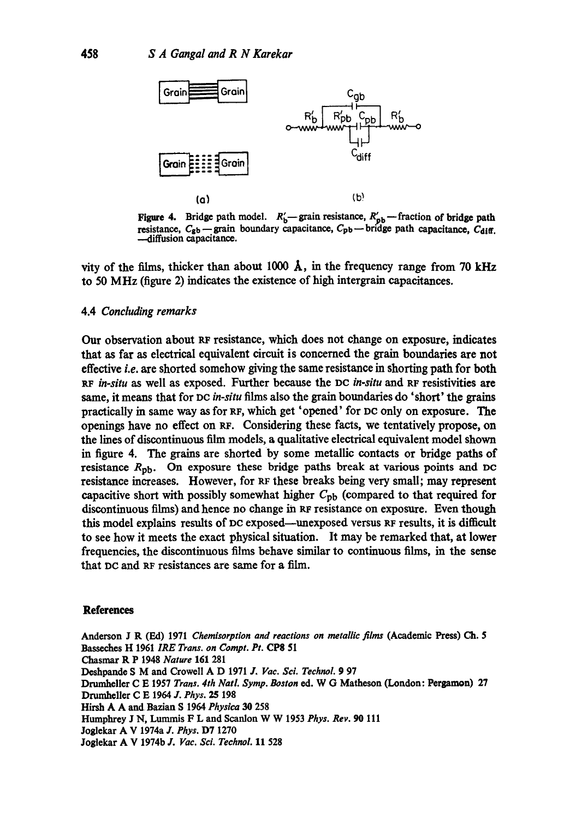

Figure 4. Bridge path model.  $R'_b$ -grain resistance,  $R'_{pb}$ -fraction of bridge path resistance,  $C_{gb}$  -grain boundary capacitance,  $C_{pb}$  - bridge path capacitance,  $C_{diff.}$ -diffusion capacitance.

vity of the films, thicker than about 1000  $\AA$ , in the frequency range from 70 kHz to 50 MHz (figure 2) indicates the existence of high intergrain capacitances.

### 4.4 *Concluding remarks*

Our observation about RF resistance, which does not change on exposure, indicates that as far as electrical equivalent circuit is concerned the grain boundaries are not effective *i.e.* are shorted somehow giving the same resistance in shorting path for both *RF in-situ* as well as exposed. Further because the pc *in-situ* and RF resistivities are same, it means that for DC *in-situ* films also the grain boundaries do 'short' the grains practically in same way as for RF, which get 'opened' for PC only on exposure. The openings have no effect on RF. Considering these facts, we tentatively propose, on the lines of discontinuous film models, a qualitative electrical equivalent model shown in figure 4. The grains are shorted by some metallic contacts or bridge paths of resistance  $R_{\rm pb}$ . On exposure these bridge paths break at various points and DC resistance increases. However, for RF these breaks being very small; may represent capacitive short with possibly somewhat higher  $C_{\text{pb}}$  (compared to that required for discontinuous films) and hence no change in RF resistance on exposure. Even though this model explains results of De exposed--unexposed versus RF results, it is difficult to see how it meets the exact physical situation. It may be remarked that, at lower frequencies, the discontinuous films behave similar to continuous films, in the sense that DC and RF resistances are same for a film.

#### **References**

Anderson J R (Ed) 1971 *Chemisorption and reactions on metallic films* (Academic Press) Ch. 5 Basseches H 1961 *IRE Trans. on Compt. Pt.* CP8 51 Chasmar R P 1948 *Nature* 16I 281 Doshpande S M and Crowell A D 1971 J, *Vac. Sci. Technol.* 9 97 Drumheller C E 1957 *Trans. 4th Natl. Syrup. Boston* ed. W G Matheson (London: Pergamon) 27 Drumheller C E 1964 *J. Phys.* 25 198 Hirsh A A and Bazian S 1964 *Physica 30* 258 Humphrey J N, Lummis F L and Scanlon W W 1953 *Phys. Rev. 90* Ill Joglekar A V 1974a *J. Phys.* D7 1270 Joglekar A V 1974b *J. Vac. Sci. Technol.* 11 528